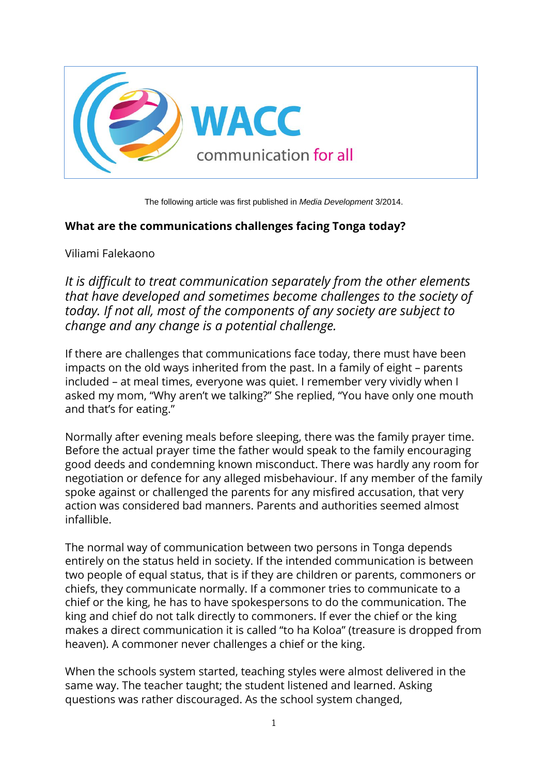

The following article was first published in *Media Development* 3/2014.

## **What are the communications challenges facing Tonga today?**

Viliami Falekaono

*It is difficult to treat communication separately from the other elements that have developed and sometimes become challenges to the society of today. If not all, most of the components of any society are subject to change and any change is a potential challenge.*

If there are challenges that communications face today, there must have been impacts on the old ways inherited from the past. In a family of eight – parents included – at meal times, everyone was quiet. I remember very vividly when I asked my mom, "Why aren't we talking?" She replied, "You have only one mouth and that's for eating."

Normally after evening meals before sleeping, there was the family prayer time. Before the actual prayer time the father would speak to the family encouraging good deeds and condemning known misconduct. There was hardly any room for negotiation or defence for any alleged misbehaviour. If any member of the family spoke against or challenged the parents for any misfired accusation, that very action was considered bad manners. Parents and authorities seemed almost infallible.

The normal way of communication between two persons in Tonga depends entirely on the status held in society. If the intended communication is between two people of equal status, that is if they are children or parents, commoners or chiefs, they communicate normally. If a commoner tries to communicate to a chief or the king, he has to have spokespersons to do the communication. The king and chief do not talk directly to commoners. If ever the chief or the king makes a direct communication it is called "to ha Koloa" (treasure is dropped from heaven). A commoner never challenges a chief or the king.

When the schools system started, teaching styles were almost delivered in the same way. The teacher taught; the student listened and learned. Asking questions was rather discouraged. As the school system changed,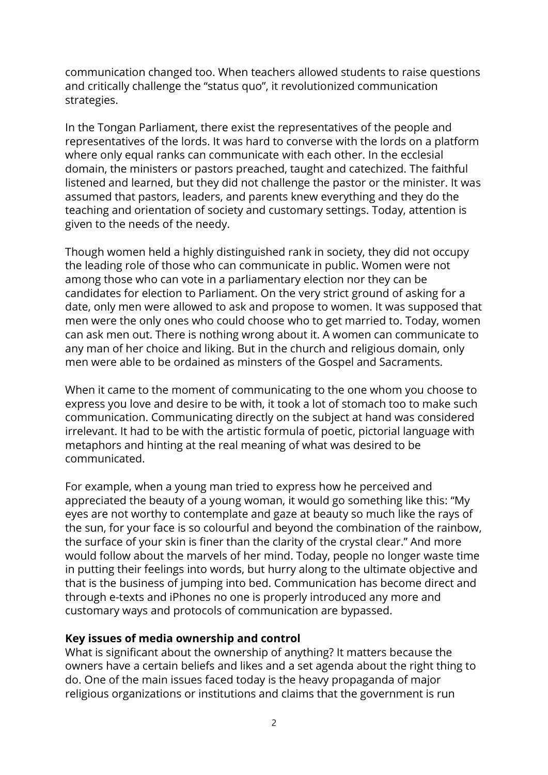communication changed too. When teachers allowed students to raise questions and critically challenge the "status quo", it revolutionized communication strategies.

In the Tongan Parliament, there exist the representatives of the people and representatives of the lords. It was hard to converse with the lords on a platform where only equal ranks can communicate with each other. In the ecclesial domain, the ministers or pastors preached, taught and catechized. The faithful listened and learned, but they did not challenge the pastor or the minister. It was assumed that pastors, leaders, and parents knew everything and they do the teaching and orientation of society and customary settings. Today, attention is given to the needs of the needy.

Though women held a highly distinguished rank in society, they did not occupy the leading role of those who can communicate in public. Women were not among those who can vote in a parliamentary election nor they can be candidates for election to Parliament. On the very strict ground of asking for a date, only men were allowed to ask and propose to women. It was supposed that men were the only ones who could choose who to get married to. Today, women can ask men out. There is nothing wrong about it. A women can communicate to any man of her choice and liking. But in the church and religious domain, only men were able to be ordained as minsters of the Gospel and Sacraments.

When it came to the moment of communicating to the one whom you choose to express you love and desire to be with, it took a lot of stomach too to make such communication. Communicating directly on the subject at hand was considered irrelevant. It had to be with the artistic formula of poetic, pictorial language with metaphors and hinting at the real meaning of what was desired to be communicated.

For example, when a young man tried to express how he perceived and appreciated the beauty of a young woman, it would go something like this: "My eyes are not worthy to contemplate and gaze at beauty so much like the rays of the sun, for your face is so colourful and beyond the combination of the rainbow, the surface of your skin is finer than the clarity of the crystal clear." And more would follow about the marvels of her mind. Today, people no longer waste time in putting their feelings into words, but hurry along to the ultimate objective and that is the business of jumping into bed. Communication has become direct and through e-texts and iPhones no one is properly introduced any more and customary ways and protocols of communication are bypassed.

## **Key issues of media ownership and control**

What is significant about the ownership of anything? It matters because the owners have a certain beliefs and likes and a set agenda about the right thing to do. One of the main issues faced today is the heavy propaganda of major religious organizations or institutions and claims that the government is run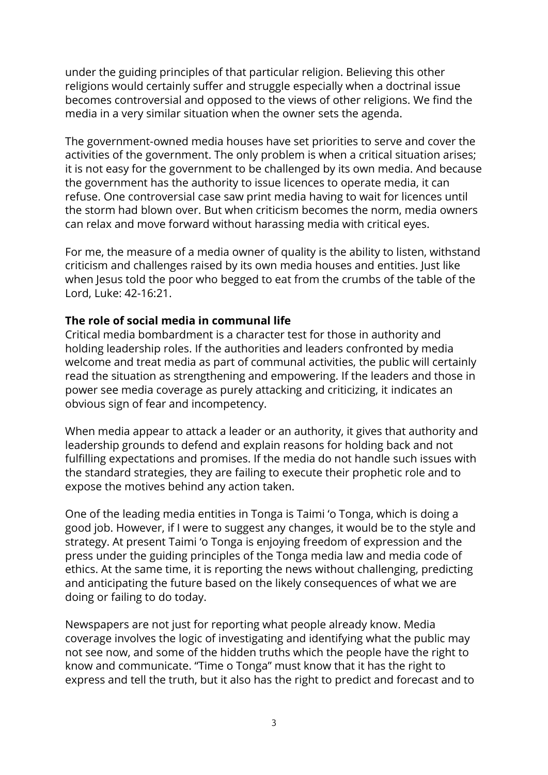under the guiding principles of that particular religion. Believing this other religions would certainly suffer and struggle especially when a doctrinal issue becomes controversial and opposed to the views of other religions. We find the media in a very similar situation when the owner sets the agenda.

The government-owned media houses have set priorities to serve and cover the activities of the government. The only problem is when a critical situation arises; it is not easy for the government to be challenged by its own media. And because the government has the authority to issue licences to operate media, it can refuse. One controversial case saw print media having to wait for licences until the storm had blown over. But when criticism becomes the norm, media owners can relax and move forward without harassing media with critical eyes.

For me, the measure of a media owner of quality is the ability to listen, withstand criticism and challenges raised by its own media houses and entities. Just like when Jesus told the poor who begged to eat from the crumbs of the table of the Lord, [Luke: 42-1](http://www.abibleconcordance.com/0-42.htm)6:21.

## **The role of social media in communal life**

Critical media bombardment is a character test for those in authority and holding leadership roles. If the authorities and leaders confronted by media welcome and treat media as part of communal activities, the public will certainly read the situation as strengthening and empowering. If the leaders and those in power see media coverage as purely attacking and criticizing, it indicates an obvious sign of fear and incompetency.

When media appear to attack a leader or an authority, it gives that authority and leadership grounds to defend and explain reasons for holding back and not fulfilling expectations and promises. If the media do not handle such issues with the standard strategies, they are failing to execute their prophetic role and to expose the motives behind any action taken.

One of the leading media entities in Tonga is Taimi 'o Tonga, which is doing a good job. However, if I were to suggest any changes, it would be to the style and strategy. At present Taimi 'o Tonga is enjoying freedom of expression and the press under the guiding principles of the Tonga media law and media code of ethics. At the same time, it is reporting the news without challenging, predicting and anticipating the future based on the likely consequences of what we are doing or failing to do today.

Newspapers are not just for reporting what people already know. Media coverage involves the logic of investigating and identifying what the public may not see now, and some of the hidden truths which the people have the right to know and communicate. "Time o Tonga" must know that it has the right to express and tell the truth, but it also has the right to predict and forecast and to